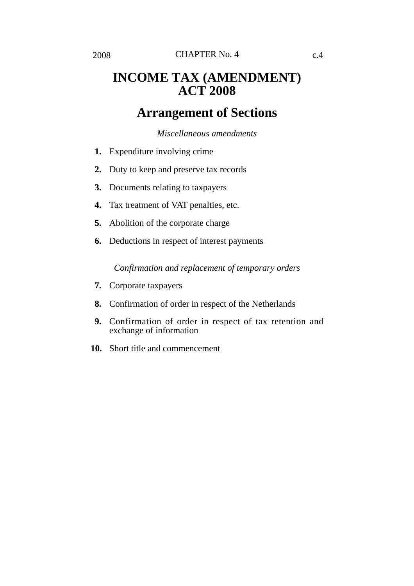# **INCOME TAX (AMENDMENT) ACT 2008**

# **Arrangement of Sections**

### *Miscellaneous amendments*

- **1.** Expenditure involving crime
- **2.** Duty to keep and preserve tax records
- **3.** Documents relating to taxpayers
- **4.** Tax treatment of VAT penalties, etc.
- **5.** Abolition of the corporate charge
- **6.** Deductions in respect of interest payments

*Confirmation and replacement of temporary orders*

- **7.** Corporate taxpayers
- **8.** Confirmation of order in respect of the Netherlands
- **9.** Confirmation of order in respect of tax retention and exchange of information
- **10.** Short title and commencement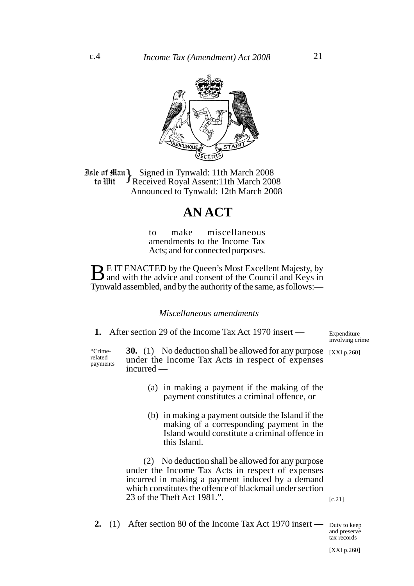

**Jule of Ham Signed in Tynwald: 11th March 2008**<br>**10 In Wit** Theceived Royal Assent: 11th March 200 Received Royal Assent:11th March 2008 Announced to Tynwald: 12th March 2008 to Wit

### **AN ACT**

to make miscellaneous amendments to the Income Tax Acts; and for connected purposes.

**BE IT ENACTED by the Queen's Most Excellent Majesty, by** and with the advice and consent of the Council and Keys in Tynwald assembled, and by the authority of the same, as follows:—

*Miscellaneous amendments*

**1.** After section 29 of the Income Tax Act 1970 insert —

involving crime

**30.** (1) No deduction shall be allowed for any purpose [XXI p.260] under the Income Tax Acts in respect of expenses incurred — "Crimerelated payments

- (a) in making a payment if the making of the payment constitutes a criminal offence, or
- (b) in making a payment outside the Island if the making of a corresponding payment in the Island would constitute a criminal offence in this Island.

(2) No deduction shall be allowed for any purpose under the Income Tax Acts in respect of expenses incurred in making a payment induced by a demand which constitutes the offence of blackmail under section 23 of the Theft Act 1981.".

 $[c.21]$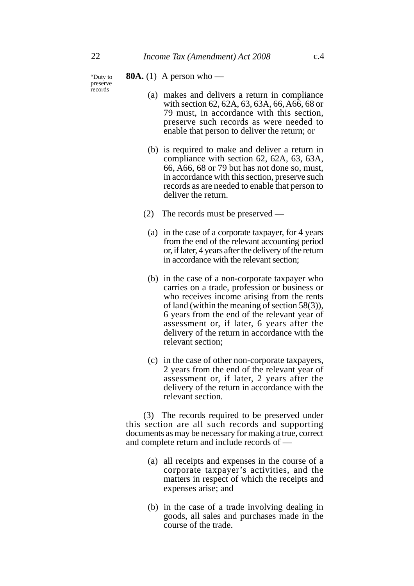"Duty to preserve records

### **80A.** (1) A person who —

- (a) makes and delivers a return in compliance with section 62, 62A, 63, 63A, 66, A66, 68 or 79 must, in accordance with this section, preserve such records as were needed to enable that person to deliver the return; or
- (b) is required to make and deliver a return in compliance with section 62, 62A, 63, 63A, 66, A66, 68 or 79 but has not done so, must, in accordance with this section, preserve such records as are needed to enable that person to deliver the return.
- (2) The records must be preserved
	- (a) in the case of a corporate taxpayer, for 4 years from the end of the relevant accounting period or, if later, 4 years after the delivery of the return in accordance with the relevant section;
	- (b) in the case of a non-corporate taxpayer who carries on a trade, profession or business or who receives income arising from the rents of land (within the meaning of section 58(3)), 6 years from the end of the relevant year of assessment or, if later, 6 years after the delivery of the return in accordance with the relevant section;
	- (c) in the case of other non-corporate taxpayers, 2 years from the end of the relevant year of assessment or, if later, 2 years after the delivery of the return in accordance with the relevant section.

(3) The records required to be preserved under this section are all such records and supporting documents as may be necessary for making a true, correct and complete return and include records of —

- (a) all receipts and expenses in the course of a corporate taxpayer's activities, and the matters in respect of which the receipts and expenses arise; and
- (b) in the case of a trade involving dealing in goods, all sales and purchases made in the course of the trade.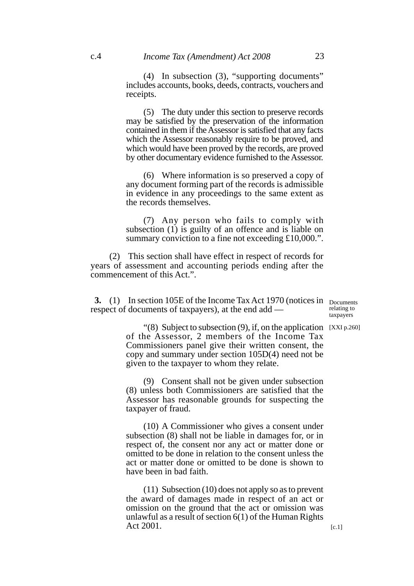(5) The duty under this section to preserve records may be satisfied by the preservation of the information contained in them if the Assessor is satisfied that any facts which the Assessor reasonably require to be proved, and which would have been proved by the records, are proved by other documentary evidence furnished to the Assessor.

(6) Where information is so preserved a copy of any document forming part of the records is admissible in evidence in any proceedings to the same extent as the records themselves.

(7) Any person who fails to comply with subsection (1) is guilty of an offence and is liable on summary conviction to a fine not exceeding £10,000.".

(2) This section shall have effect in respect of records for years of assessment and accounting periods ending after the commencement of this Act.".

**3.** (1) In section 105E of the Income Tax Act 1970 (notices in Documents respect of documents of taxpayers), at the end add —

relating to taxpayers

"(8) Subject to subsection (9), if, on the application [XXI p.260] of the Assessor, 2 members of the Income Tax Commissioners panel give their written consent, the copy and summary under section 105D(4) need not be given to the taxpayer to whom they relate.

(9) Consent shall not be given under subsection (8) unless both Commissioners are satisfied that the Assessor has reasonable grounds for suspecting the taxpayer of fraud.

(10) A Commissioner who gives a consent under subsection (8) shall not be liable in damages for, or in respect of, the consent nor any act or matter done or omitted to be done in relation to the consent unless the act or matter done or omitted to be done is shown to have been in bad faith.

(11) Subsection (10) does not apply so as to prevent the award of damages made in respect of an act or omission on the ground that the act or omission was unlawful as a result of section 6(1) of the Human Rights Act 2001.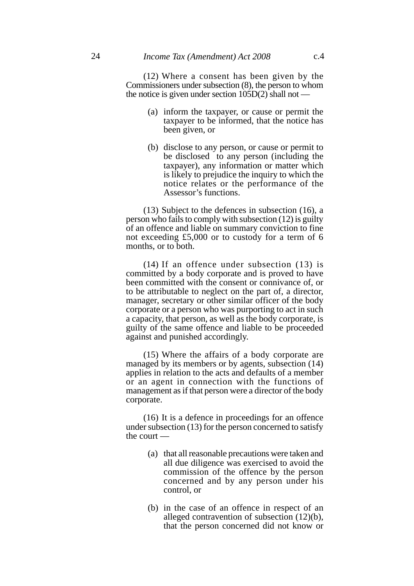(12) Where a consent has been given by the Commissioners under subsection (8), the person to whom the notice is given under section  $105D(2)$  shall not —

- (a) inform the taxpayer, or cause or permit the taxpayer to be informed, that the notice has been given, or
- (b) disclose to any person, or cause or permit to be disclosed to any person (including the taxpayer), any information or matter which is likely to prejudice the inquiry to which the notice relates or the performance of the Assessor's functions.

(13) Subject to the defences in subsection (16), a person who fails to comply with subsection (12) is guilty of an offence and liable on summary conviction to fine not exceeding £5,000 or to custody for a term of 6 months, or to both.

(14) If an offence under subsection (13) is committed by a body corporate and is proved to have been committed with the consent or connivance of, or to be attributable to neglect on the part of, a director, manager, secretary or other similar officer of the body corporate or a person who was purporting to act in such a capacity, that person, as well as the body corporate, is guilty of the same offence and liable to be proceeded against and punished accordingly.

(15) Where the affairs of a body corporate are managed by its members or by agents, subsection (14) applies in relation to the acts and defaults of a member or an agent in connection with the functions of management as if that person were a director of the body corporate.

(16) It is a defence in proceedings for an offence under subsection (13) for the person concerned to satisfy the court —

- (a) that all reasonable precautions were taken and all due diligence was exercised to avoid the commission of the offence by the person concerned and by any person under his control, or
- (b) in the case of an offence in respect of an alleged contravention of subsection (12)(b), that the person concerned did not know or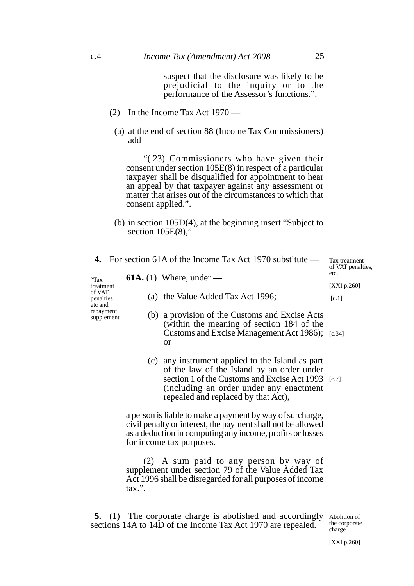suspect that the disclosure was likely to be prejudicial to the inquiry or to the performance of the Assessor's functions.".

- (2) In the Income Tax Act 1970
	- (a) at the end of section 88 (Income Tax Commissioners) add —

"( 23) Commissioners who have given their consent under section 105E(8) in respect of a particular taxpayer shall be disqualified for appointment to hear an appeal by that taxpayer against any assessment or matter that arises out of the circumstances to which that consent applied.".

(b) in section 105D(4), at the beginning insert "Subject to section 105E(8),".

|                                                                                |  |                                                                                                                                                                                                                   | 4. For section 61A of the Income Tax Act 1970 substitute $-$                                                                                                                                                                           | Tax treatment<br>of VAT penalties,<br>etc. |
|--------------------------------------------------------------------------------|--|-------------------------------------------------------------------------------------------------------------------------------------------------------------------------------------------------------------------|----------------------------------------------------------------------------------------------------------------------------------------------------------------------------------------------------------------------------------------|--------------------------------------------|
| "Tax<br>treatment<br>of VAT<br>penalties<br>etc and<br>repayment<br>supplement |  |                                                                                                                                                                                                                   | <b>61A.</b> (1) Where, under —                                                                                                                                                                                                         |                                            |
|                                                                                |  |                                                                                                                                                                                                                   |                                                                                                                                                                                                                                        | [ $XXI p.260$ ]                            |
|                                                                                |  |                                                                                                                                                                                                                   | (a) the Value Added Tax Act 1996;                                                                                                                                                                                                      | [c.1]                                      |
|                                                                                |  |                                                                                                                                                                                                                   | (b) a provision of the Customs and Excise Acts<br>(within the meaning of section 184 of the<br>Customs and Excise Management Act 1986); [c.34]<br><b>or</b>                                                                            |                                            |
|                                                                                |  |                                                                                                                                                                                                                   | (c) any instrument applied to the Island as part<br>of the law of the Island by an order under<br>section 1 of the Customs and Excise Act 1993 [c.7]<br>(including an order under any enactment<br>repealed and replaced by that Act), |                                            |
|                                                                                |  | a person is liable to make a payment by way of surcharge,<br>civil penalty or interest, the payment shall not be allowed<br>as a deduction in computing any income, profits or losses<br>for income tax purposes. |                                                                                                                                                                                                                                        |                                            |
|                                                                                |  | (2) A sum paid to any person by way of<br>supplement under section 79 of the Value Added Tax<br>Act 1996 shall be disregarded for all purposes of income<br>$\max$ ".                                             |                                                                                                                                                                                                                                        |                                            |

**5.** (1) The corporate charge is abolished and accordingly Abolition of sections 14A to 14D of the Income Tax Act 1970 are repealed.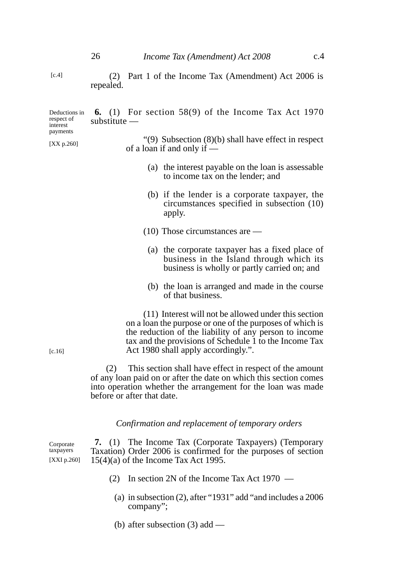(2) Part 1 of the Income Tax (Amendment) Act 2006 is

repealed.

| Deductions in<br>respect of<br>interest<br>payments | <b>6.</b> (1) For section 58(9) of the Income Tax Act 1970<br>$substitute$ —                                                                                                                                                                                                |
|-----------------------------------------------------|-----------------------------------------------------------------------------------------------------------------------------------------------------------------------------------------------------------------------------------------------------------------------------|
| [ $XX$ p.260]                                       | " $(9)$ Subsection $(8)(b)$ shall have effect in respect<br>of a loan if and only if $-$                                                                                                                                                                                    |
|                                                     | (a) the interest payable on the loan is assessable<br>to income tax on the lender; and                                                                                                                                                                                      |
|                                                     | (b) if the lender is a corporate taxpayer, the<br>circumstances specified in subsection (10)<br>apply.                                                                                                                                                                      |
|                                                     | $(10)$ Those circumstances are —                                                                                                                                                                                                                                            |
|                                                     | (a) the corporate taxpayer has a fixed place of<br>business in the Island through which its<br>business is wholly or partly carried on; and                                                                                                                                 |
|                                                     | (b) the loan is arranged and made in the course<br>of that business.                                                                                                                                                                                                        |
| $[c.16]$                                            | (11) Interest will not be allowed under this section<br>on a loan the purpose or one of the purposes of which is<br>the reduction of the liability of any person to income<br>tax and the provisions of Schedule 1 to the Income Tax<br>Act 1980 shall apply accordingly.". |
|                                                     | This section shall have effect in respect of the amount<br>(2)<br>of any loan paid on or after the date on which this section comes<br>into operation whether the arrangement for the loan was made<br>before or after that date.                                           |
|                                                     |                                                                                                                                                                                                                                                                             |

# *Confirmation and replacement of temporary orders*

**7.** (1) The Income Tax (Corporate Taxpayers) (Temporary Taxation) Order 2006 is confirmed for the purposes of section 15(4)(a) of the Income Tax Act 1995. Corporate taxpayers [XXI p.260]

- (2) In section 2N of the Income Tax Act 1970
	- (a) in subsection (2), after "1931" add "and includes a 2006 company";
	- (b) after subsection (3) add —

 $[c.4]$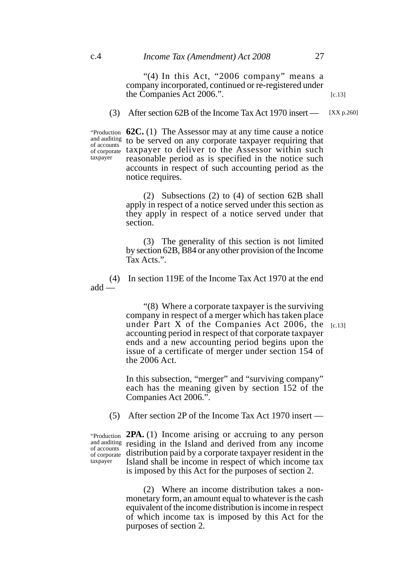#### c.4 *Income Tax (Amendment) Act 2008* 27

"(4) In this Act, "2006 company" means a company incorporated, continued or re-registered under the Companies Act 2006.".

(3) After section 62B of the Income Tax Act 1970 insert —

**62C.** (1) The Assessor may at any time cause a notice "Production and auditing to be served on any corporate taxpayer requiring that of corporate taxpayer to deliver to the Assessor within such reasonable period as is specified in the notice such accounts in respect of such accounting period as the notice requires. of accounts

> (2) Subsections (2) to (4) of section 62B shall apply in respect of a notice served under this section as they apply in respect of a notice served under that section.

> (3) The generality of this section is not limited by section 62B, B84 or any other provision of the Income Tax Acts.".

(4) In section 119E of the Income Tax Act 1970 at the end add —

> "(8) Where a corporate taxpayer is the surviving company in respect of a merger which has taken place under Part X of the Companies Act 2006, the  $[c.13]$ accounting period in respect of that corporate taxpayer ends and a new accounting period begins upon the issue of a certificate of merger under section 154 of the 2006 Act.

In this subsection, "merger" and "surviving company" each has the meaning given by section 152 of the Companies Act 2006.".

(5) After section 2P of the Income Tax Act 1970 insert —

of accounts taxpayer

**2PA.** (1) Income arising or accruing to any person "Production and auditing residing in the Island and derived from any income of corporate distribution paid by a corporate taxpayer resident in the Island shall be income in respect of which income tax is imposed by this Act for the purposes of section 2.

> (2) Where an income distribution takes a nonmonetary form, an amount equal to whatever is the cash equivalent of the income distribution is income in respect of which income tax is imposed by this Act for the purposes of section 2.

taxpayer

[c.13]

[XX p.260]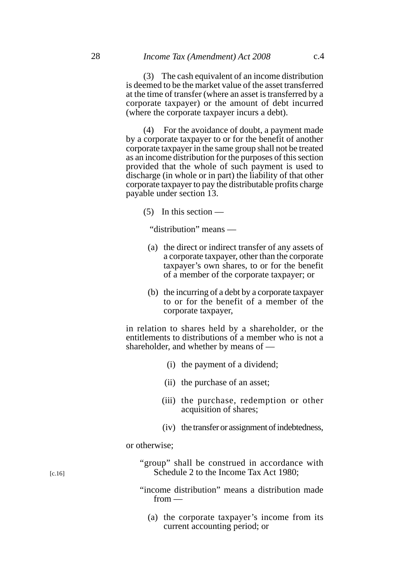(3) The cash equivalent of an income distribution is deemed to be the market value of the asset transferred at the time of transfer (where an asset is transferred by a corporate taxpayer) or the amount of debt incurred (where the corporate taxpayer incurs a debt).

(4) For the avoidance of doubt, a payment made by a corporate taxpayer to or for the benefit of another corporate taxpayer in the same group shall not be treated as an income distribution for the purposes of this section provided that the whole of such payment is used to discharge (in whole or in part) the liability of that other corporate taxpayer to pay the distributable profits charge payable under section 13.

(5) In this section —

"distribution" means —

- (a) the direct or indirect transfer of any assets of a corporate taxpayer, other than the corporate taxpayer's own shares, to or for the benefit of a member of the corporate taxpayer; or
- (b) the incurring of a debt by a corporate taxpayer to or for the benefit of a member of the corporate taxpayer,

in relation to shares held by a shareholder, or the entitlements to distributions of a member who is not a shareholder, and whether by means of —

- (i) the payment of a dividend;
- (ii) the purchase of an asset;
- (iii) the purchase, redemption or other acquisition of shares;
- (iv) the transfer or assignment of indebtedness,

or otherwise;

|  |  | "group" shall be construed in accordance with |  |
|--|--|-----------------------------------------------|--|
|  |  | Schedule 2 to the Income Tax Act 1980;        |  |

(a) the corporate taxpayer's income from its current accounting period; or

[c.16]

<sup>&</sup>quot;income distribution" means a distribution made from —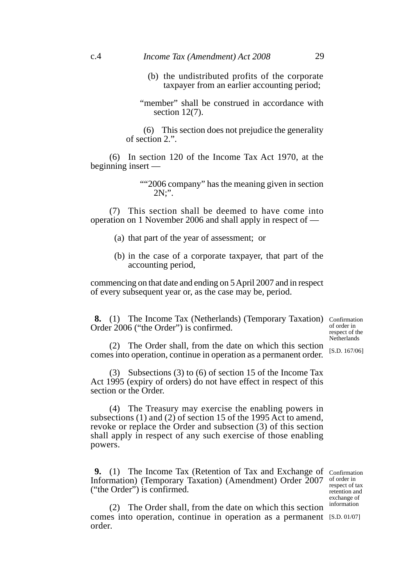#### c.4 *Income Tax (Amendment) Act 2008* 29

- (b) the undistributed profits of the corporate taxpayer from an earlier accounting period;
- "member" shall be construed in accordance with section 12(7).

(6) This section does not prejudice the generality of section 2.".

(6) In section 120 of the Income Tax Act 1970, at the beginning insert —

> ""2006 company" has the meaning given in section 2N;".

(7) This section shall be deemed to have come into operation on 1 November 2006 and shall apply in respect of —

- (a) that part of the year of assessment; or
- (b) in the case of a corporate taxpayer, that part of the accounting period,

commencing on that date and ending on 5 April 2007 and in respect of every subsequent year or, as the case may be, period.

**8.** (1) The Income Tax (Netherlands) (Temporary Taxation) Confirmation Order 2006 ("the Order") is confirmed.

of order in respect of the **Netherlands** 

(2) The Order shall, from the date on which this section comes into operation, continue in operation as a permanent order.

(3) Subsections (3) to (6) of section 15 of the Income Tax Act 1995 (expiry of orders) do not have effect in respect of this section or the Order.

(4) The Treasury may exercise the enabling powers in subsections (1) and (2) of section 15 of the 1995 Act to amend, revoke or replace the Order and subsection (3) of this section shall apply in respect of any such exercise of those enabling powers.

**9.** (1) The Income Tax (Retention of Tax and Exchange of Confirmation Information) (Temporary Taxation) (Amendment) Order 2007 ("the Order") is confirmed.

of order in respect of tax retention and exchange of information

(2) The Order shall, from the date on which this section comes into operation, continue in operation as a permanent [S.D. 01/07]order.

[S.D. 167/06]